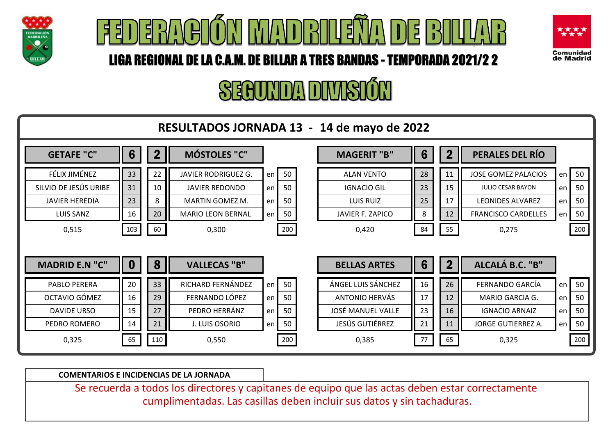





# SEAUNDA DIVISIÓN



**COMENTARIOS E INCIDENCIAS DE LA JORNADA**

Se recuerda a todos los directores y capitanes de equipo que las actas deben estar correctamente cumplimentadas. Las casillas deben incluir sus datos y sin tachaduras.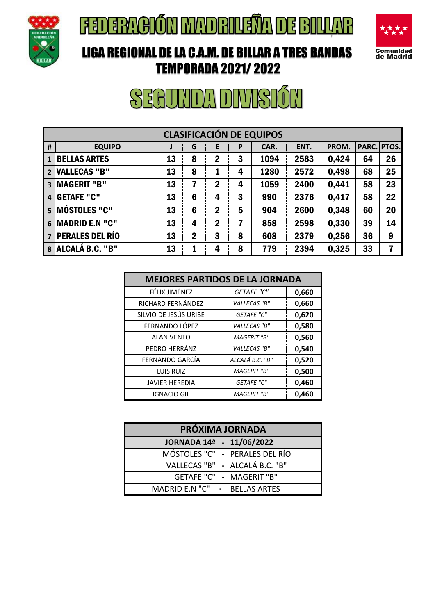



#### LIGA REGIONAL DE LA C.A.M. DE BILLAR A TRES BANDAS TEMPORADA 2021/ 2022

| <b>CLASIFICACIÓN DE EQUIPOS</b> |                        |    |             |             |   |      |      |       |             |    |
|---------------------------------|------------------------|----|-------------|-------------|---|------|------|-------|-------------|----|
| #                               | <b>EQUIPO</b>          | J  | G           | E           | P | CAR. | ENT. | PROM. | PARC. PTOS. |    |
|                                 | <b>BELLAS ARTES</b>    | 13 | 8           | $\mathbf 2$ | 3 | 1094 | 2583 | 0,424 | 64          | 26 |
| $\overline{2}$                  | <b>VALLECAS "B"</b>    | 13 | 8           | 1           | 4 | 1280 | 2572 | 0,498 | 68          | 25 |
| $\overline{\mathbf{3}}$         | <b>MAGERIT "B"</b>     | 13 | 7           | $\mathbf 2$ | 4 | 1059 | 2400 | 0,441 | 58          | 23 |
| $\overline{4}$                  | <b>GETAFE "C"</b>      | 13 | 6           | 4           | 3 | 990  | 2376 | 0,417 | 58          | 22 |
| 5 <sub>1</sub>                  | <b>MÓSTOLES "C"</b>    | 13 | 6           | $\mathbf 2$ | 5 | 904  | 2600 | 0,348 | 60          | 20 |
| 6 <sup>1</sup>                  | <b>MADRID E.N "C"</b>  | 13 | 4           | $\mathbf 2$ | 7 | 858  | 2598 | 0,330 | 39          | 14 |
| $\overline{7}$                  | <b>PERALES DEL RÍO</b> | 13 | $\mathbf 2$ | 3           | 8 | 608  | 2379 | 0,256 | 36          | 9  |
| 8                               | ALCALÁ B.C. "B"        | 13 | 1           | 4           | 8 | 779  | 2394 | 0,325 | 33          | 7  |

| <b>MEJORES PARTIDOS DE LA JORNADA</b> |                    |       |  |  |  |  |  |  |  |
|---------------------------------------|--------------------|-------|--|--|--|--|--|--|--|
| FÉLIX JIMÉNEZ                         | <b>GETAFE "C"</b>  | 0,660 |  |  |  |  |  |  |  |
| RICHARD FERNÁNDEZ                     | VALLECAS "B"       | 0,660 |  |  |  |  |  |  |  |
| SILVIO DE JESÚS URIBE                 | <b>GETAFE "C"</b>  | 0,620 |  |  |  |  |  |  |  |
| FERNANDO LÓPEZ                        | VALLECAS "B"       | 0,580 |  |  |  |  |  |  |  |
| <b>ALAN VENTO</b>                     | <b>MAGERIT</b> "B" | 0,560 |  |  |  |  |  |  |  |
| PEDRO HERRÁNZ                         | VALLECAS "B"       | 0,540 |  |  |  |  |  |  |  |
| FERNANDO GARCÍA                       | ALCALÁ B.C. "B"    | 0,520 |  |  |  |  |  |  |  |
| <b>LUIS RUIZ</b>                      | MAGERIT "B"        | 0,500 |  |  |  |  |  |  |  |
| <b>JAVIER HEREDIA</b>                 | <b>GETAFE "C"</b>  | 0,460 |  |  |  |  |  |  |  |
| <b>IGNACIO GIL</b>                    | <b>MAGERIT</b> "B" | 0,460 |  |  |  |  |  |  |  |

| PRÓXIMA JORNADA                |  |  |  |  |  |  |  |  |  |
|--------------------------------|--|--|--|--|--|--|--|--|--|
| JORNADA 14ª - 11/06/2022       |  |  |  |  |  |  |  |  |  |
| MÓSTOLES "C" - PERALES DEL RÍO |  |  |  |  |  |  |  |  |  |
| VALLECAS "B" - ALCALÁ B.C. "B" |  |  |  |  |  |  |  |  |  |
| GETAFE "C" - MAGERIT "B"       |  |  |  |  |  |  |  |  |  |
| MADRID E.N "C" - BELLAS ARTES  |  |  |  |  |  |  |  |  |  |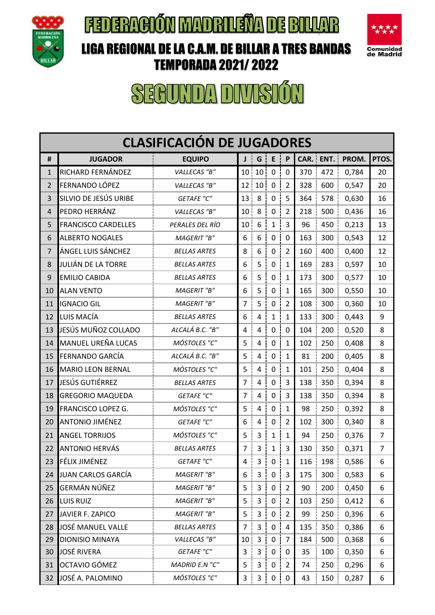





| <b>CLASIFICACIÓN DE JUGADORES</b> |                            |                     |                 |                         |                     |                |      |      |                   |                |
|-----------------------------------|----------------------------|---------------------|-----------------|-------------------------|---------------------|----------------|------|------|-------------------|----------------|
| #                                 | <b>JUGADOR</b>             | <b>EQUIPO</b>       | Jj              | G                       | E                   | P              | CAR. | ENT. | PROM.             | PTOS.          |
| 1                                 | RICHARD FERNÁNDEZ          | VALLECAS "B"        | 10 <sup>1</sup> | 10 <sup>1</sup>         | $\mathbf 0$         | $\mathbf 0$    | 370  | 472  | 0,784             | 20             |
| 2                                 | FERNANDO LÓPEZ             | VALLECAS "B"        | 12              | 10                      | $\pmb{0}$           | $\overline{2}$ | 328  | 600  | 0,547             | 20             |
| 3                                 | SILVIO DE JESÚS URIBE      | <b>GETAFE "C"</b>   | 13              | 8                       | $\pmb{0}$           | 5              | 364  | 578  | 0,630             | 16             |
| $\overline{4}$                    | PEDRO HERRÁNZ              | VALLECAS "B"        | 10              | 8                       | $\mathbf 0$         | $\overline{2}$ | 218  | 500  | 0,436             | 16             |
| 5                                 | <b>FRANCISCO CARDELLES</b> | PERALES DEL RÍO     | 10              | $\boldsymbol{6}$        | $\mathbf{1}$        | 3              | 96   | 450  | 0,213             | 13             |
| 6                                 | <b>ALBERTO NOGALES</b>     | <b>MAGERIT</b> "B"  | 6               | 6                       | $\pmb{0}$           | 0              | 163  | 300  | 0,543             | 12             |
| $\overline{7}$                    | ÁNGEL LUIS SÁNCHEZ         | <b>BELLAS ARTES</b> | 8               | 6                       | $\pmb{0}$           | $\overline{2}$ | 160  | 400  | 0,400             | 12             |
| 8                                 | JULIÁN DE LA TORRE         | <b>BELLAS ARTES</b> | 6               | 5                       | $\pmb{0}$           | $\mathbf{1}$   | 169  | 283  | 0,597             | 10             |
| 9                                 | <b>EMILIO CABIDA</b>       | <b>BELLAS ARTES</b> | 6               | 5                       | $\mathbf 0$         | $\mathbf 1$    | 173  | 300  | 0,577             | 10             |
| 10                                | <b>ALAN VENTO</b>          | <b>MAGERIT</b> "B"  | 6               | 5                       | $\pmb{0}$           | $\mathbf{1}$   | 165  | 300  | 0,550             | 10             |
| 11                                | <b>IGNACIO GIL</b>         | <b>MAGERIT</b> "B"  | 7               | 5                       | $\mathbf 0$         | $\overline{2}$ | 108  | 300  | 0,360             | 10             |
| 12                                | LUIS MACÍA                 | <b>BELLAS ARTES</b> | 6               | $\overline{\mathbf{4}}$ | $\mathbf{1}$        | $\mathbf{1}$   | 133  | 300  | 0,443             | 9              |
| 13                                | JESÚS MUÑOZ COLLADO        | ALCALÁ B.C. "B"     | 4               | $\overline{4}$          | $\mathbf 0$         | $\mathbf 0$    | 104  | 200  | 0,520             | 8              |
| 14                                | <b>MANUEL UREÑA LUCAS</b>  | MÓSTOLES "C"        | 5               | $\overline{4}$          | $\mathbf 0$         | $\mathbf 1$    | 102  | 250  | 0,408             | 8              |
| 15                                | FERNANDO GARCÍA            | ALCALÁ B.C. "B"     | 5               | $\overline{\mathbf{4}}$ | $\mathbf 0$         | $\mathbf{1}$   | 81   | 200  | 0,405             | 8              |
| 16                                | <b>MARIO LEON BERNAL</b>   | MÓSTOLES "C"        | 5               | $\overline{4}$          | $\mathbf 0$         | $\mathbf{1}$   | 101  | 250  | 0,404             | 8              |
| 17                                | JESÚS GUTIÉRREZ            | <b>BELLAS ARTES</b> | 7               | $\overline{4}$          | $\mathbf 0$         | 3              | 138  | 350  | 0,394             | 8              |
| 18                                | <b>GREGORIO MAQUEDA</b>    | <b>GETAFE "C"</b>   | 7               | $\overline{4}$          | $\mathbf 0$         | 3              | 138  | 350  | 0,394             | 8              |
| 19                                | FRANCISCO LOPEZ G.         | MÓSTOLES "C"        | 5               | $\overline{4}$          | $\mathbf 0$         | $\mathbf 1$    | 98   | 250  | 0,392             | 8              |
| 20                                | <b>ANTONIO JIMÉNEZ</b>     | <b>GETAFE "C"</b>   | 6               | 4                       | $\mathbf 0$         | $\overline{2}$ | 102  | 300  | 0,340             | 8              |
| 21                                | <b>ANGEL TORRIJOS</b>      | MÓSTOLES "C"        | 5               | 3                       | $\mathbf{1}$        | $\mathbf{1}$   | 94   | 250  | 0,376             | $\overline{7}$ |
| 22                                | ANTONIO HERVÁS             | <b>BELLAS ARTES</b> | 7               | $\overline{3}$          | $\mathbf{1}$        | 3              | 130  | 350  | 0,371             | $\overline{7}$ |
| 23                                | FÉLIX JIMÉNEZ              | <b>GETAFE "C"</b>   | 4               | 3 <sup>1</sup>          | $\mathsf{O}\xspace$ | Ţ<br>$1 \mid$  |      |      | 116   198   0,586 | 6              |
| 24                                | JUAN CARLOS GARCÍA         | MAGERIT "B"         | 6               | $\mathsf{3}$            | 0 <sup>1</sup>      | 3              | 175  | 300  | 0,583             | 6              |
| 25                                | GERMÁN NÚÑEZ               | <b>MAGERIT</b> "B"  | 5               | $\mathsf{3}$            | $\mathsf{O}$        | $\overline{2}$ | 90   | 200  | 0,450             | 6              |
| 26                                | LUIS RUIZ                  | <b>MAGERIT</b> "B"  | 5               | $\mathsf{3}$            | 0 <sup>1</sup>      | $\overline{2}$ | 103  | 250  | 0,412             | 6              |
| 27                                | JAVIER F. ZAPICO           | <b>MAGERIT</b> "B"  | 5               | $\mathsf 3$             | $\mathbf 0$         | $\overline{2}$ | 99   | 250  | 0,396             | 6              |
| 28                                | JOSÉ MANUEL VALLE          | <b>BELLAS ARTES</b> | 7               | 3                       | $\mathbf 0$         | $\overline{4}$ | 135  | 350  | 0,386             | 6              |
| 29                                | <b>DIONISIO MINAYA</b>     | VALLECAS "B"        | 10 <sub>1</sub> | $\mathbf{3}$            | 0 <sup>1</sup>      | $\overline{7}$ | 184  | 500  | 0,368             | 6              |
| 30                                | <b>JOSÉ RIVERA</b>         | <b>GETAFE "C"</b>   | 3               | $\mathsf{3}$            | $\mathbf 0$         | 0              | 35   | 100  | 0,350             | 6              |
| 31                                | OCTAVIO GÓMEZ              | MADRID E.N "C"      | 5               | 3                       | $\mathbf 0$         | $\overline{2}$ | 74   | 250  | 0,296             | 6              |
| 32                                | JOSÉ A. PALOMINO           | MÓSTOLES "C"        | 3               | 3                       | 0                   | $\pmb{0}$      | 43   | 150  | 0,287             | 6              |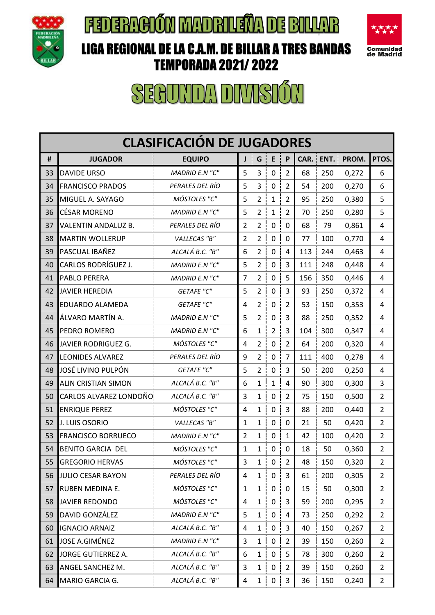

LIGA REGIONAL DE LA C.A.M. DE BILLAR A TRES BANDAS TEMPORADA 2021/ 2022



|    | <b>CLASIFICACIÓN DE JUGADORES</b> |                       |                |                |                |                |        |      |       |                |  |
|----|-----------------------------------|-----------------------|----------------|----------------|----------------|----------------|--------|------|-------|----------------|--|
| #  | <b>JUGADOR</b>                    | <b>EQUIPO</b>         | J              | G              | $\sf E$        | P              | CAR. i | ENT. | PROM. | PTOS.          |  |
| 33 | <b>DAVIDE URSO</b>                | <b>MADRID E.N "C"</b> | 5              | 3              | $\pmb{0}$      | $\overline{2}$ | 68     | 250  | 0,272 | 6              |  |
| 34 | <b>FRANCISCO PRADOS</b>           | PERALES DEL RÍO       | 5              | 3              | $\pmb{0}$      | $\overline{2}$ | 54     | 200  | 0,270 | 6              |  |
| 35 | MIGUEL A. SAYAGO                  | MÓSTOLES "C"          | 5              | $\overline{2}$ | $\mathbf{1}$   | $\overline{2}$ | 95     | 250  | 0,380 | 5              |  |
| 36 | <b>CÉSAR MORENO</b>               | MADRID E.N "C"        | 5              | $\overline{2}$ | $\mathbf{1}$   | $\overline{2}$ | 70     | 250  | 0,280 | 5              |  |
| 37 | VALENTIN ANDALUZ B.               | PERALES DEL RÍO       | 2              | $\overline{2}$ | $\pmb{0}$      | 0              | 68     | 79   | 0,861 | 4              |  |
| 38 | <b>MARTIN WOLLERUP</b>            | VALLECAS "B"          | 2              | $\overline{2}$ | $\mathbf 0$    | $\mathbf 0$    | 77     | 100  | 0,770 | 4              |  |
| 39 | PASCUAL IBAÑEZ                    | ALCALÁ B.C. "B"       | 6              | $\overline{2}$ | $\mathbf 0$    | 4              | 113    | 244  | 0,463 | 4              |  |
| 40 | CARLOS RODRÍGUEZ J.               | MADRID E.N "C"        | 5              | $\overline{2}$ | $\pmb{0}$      | 3              | 111    | 248  | 0,448 | 4              |  |
| 41 | PABLO PERERA                      | MADRID E.N "C"        | 7              | $\overline{2}$ | $\pmb{0}$      | 5              | 156    | 350  | 0,446 | 4              |  |
| 42 | <b>JAVIER HEREDIA</b>             | <b>GETAFE "C"</b>     | 5              | $\overline{2}$ | $\mathbf 0$    | 3              | 93     | 250  | 0,372 | 4              |  |
| 43 | <b>EDUARDO ALAMEDA</b>            | <b>GETAFE "C"</b>     | 4              | $\overline{2}$ | $\pmb{0}$      | $\overline{2}$ | 53     | 150  | 0,353 | 4              |  |
| 44 | ÁLVARO MARTÍN A.                  | MADRID E.N "C"        | 5              | $\overline{2}$ | $\pmb{0}$      | 3              | 88     | 250  | 0,352 | 4              |  |
| 45 | PEDRO ROMERO                      | MADRID E.N "C"        | 6              | $\mathbf{1}$   | $\overline{2}$ | 3              | 104    | 300  | 0,347 | 4              |  |
| 46 | JAVIER RODRIGUEZ G.               | MÓSTOLES "C"          | 4              | $\overline{2}$ | $\mathbf 0$    | $\overline{2}$ | 64     | 200  | 0,320 | 4              |  |
| 47 | <b>LEONIDES ALVAREZ</b>           | PERALES DEL RÍO       | 9              | $\overline{2}$ | $\pmb{0}$      | $\overline{7}$ | 111    | 400  | 0,278 | 4              |  |
| 48 | JOSÉ LIVINO PULPÓN                | <b>GETAFE "C"</b>     | 5              | $\overline{2}$ | $\mathbf 0$    | 3              | 50     | 200  | 0,250 | 4              |  |
| 49 | <b>ALIN CRISTIAN SIMON</b>        | ALCALÁ B.C. "B"       | 6              | $\mathbf 1$    | $\mathbf 1$    | 4              | 90     | 300  | 0,300 | 3              |  |
| 50 | CARLOS ALVAREZ LONDOÑO            | ALCALÁ B.C. "B"       | 3              | $\mathbf{1}$   | $\pmb{0}$      | $\overline{2}$ | 75     | 150  | 0,500 | $\overline{2}$ |  |
| 51 | <b>ENRIQUE PEREZ</b>              | MÓSTOLES "C"          | 4              | $\mathbf{1}$   | $\pmb{0}$      | 3              | 88     | 200  | 0,440 | $\overline{2}$ |  |
| 52 | <b>J. LUIS OSORIO</b>             | VALLECAS "B"          | 1              | $\mathbf{1}$   | $\mathbf 0$    | $\mathbf 0$    | 21     | 50   | 0,420 | $\overline{2}$ |  |
| 53 | <b>FRANCISCO BORRUECO</b>         | MADRID E.N "C"        | $\overline{2}$ | $\mathbf{1}$   | $\pmb{0}$      | $\mathbf{1}$   | 42     | 100  | 0,420 | $\overline{2}$ |  |
| 54 | <b>BENITO GARCIA DEL</b>          | MÓSTOLES "C"          | 1              | 1              | 0              | 0              | 18     | 50   | 0,360 | $\overline{2}$ |  |
| 55 | <b>GREGORIO HERVAS</b>            | MÓSTOLES "C"          | 3              | $1\,$ i        | 0 <sup>1</sup> | $\overline{2}$ | 48     | 150  | 0,320 | $\overline{2}$ |  |
| 56 | JULIO CESAR BAYON                 | PERALES DEL RÍO       | $4 \mid$       | $1 \nvert$     | 0 <sup>1</sup> | 3              | 61     | 200  | 0,305 | $\overline{2}$ |  |
| 57 | <b>RUBEN MEDINA E.</b>            | MÓSTOLES "C"          | 1              | $\mathbf{1}$   | $\mathbf 0$    | 0              | 15     | 50   | 0,300 | 2              |  |
| 58 | <b>JAVIER REDONDO</b>             | MÓSTOLES "C"          | 4              | $\mathbf{1}$   | $\mathbf 0$    | 3              | 59     | 200  | 0,295 | 2              |  |
| 59 | <b>DAVID GONZÁLEZ</b>             | MADRID E.N "C"        | 5              | $\mathbf{1}$   | $\mathbf 0$    | 4              | 73     | 250  | 0,292 | 2              |  |
| 60 | <b>IGNACIO ARNAIZ</b>             | ALCALÁ B.C. "B"       | 4              | $\mathbf{1}$   | 0              | 3              | 40     | 150  | 0,267 | 2              |  |
| 61 | JOSE A.GIMÉNEZ                    | MADRID E.N "C"        | 3              | $\mathbf 1$    | $\mathbf 0$    | $\overline{2}$ | 39     | 150  | 0,260 | 2              |  |
| 62 | JORGE GUTIERREZ A.                | ALCALÁ B.C. "B"       | 6              | $\mathbf{1}$   | $\mathbf 0$    | 5              | 78     | 300  | 0,260 | 2              |  |
| 63 | ANGEL SANCHEZ M.                  | ALCALÁ B.C. "B"       | 3              | $\mathbf{1}$   | 0              | $\overline{2}$ | 39     | 150  | 0,260 | 2              |  |
| 64 | MARIO GARCIA G.                   | ALCALÁ B.C. "B"       | 4              | $\mathbf{1}$   | 0              | 3              | 36     | 150  | 0,240 | $\overline{2}$ |  |